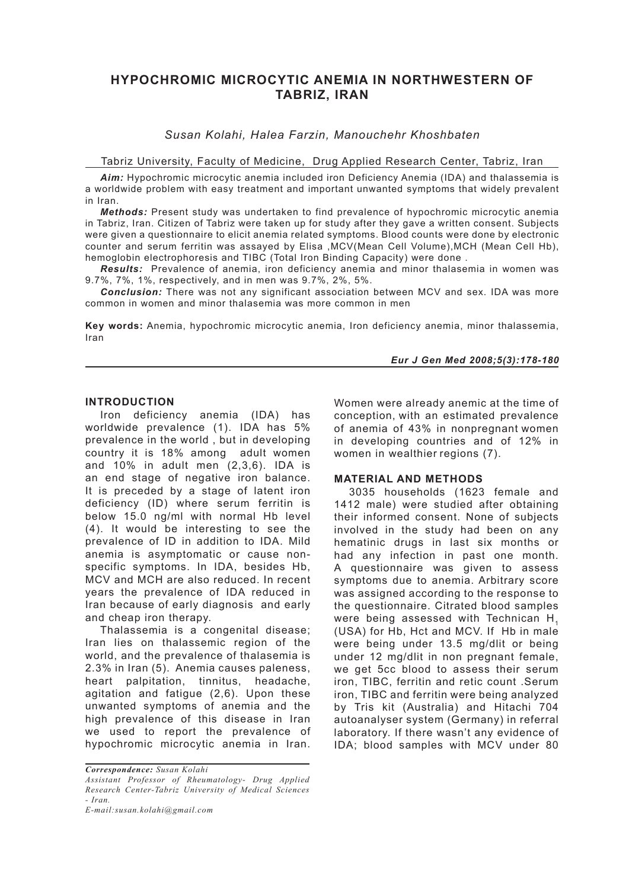# **HYPOCHROMIC MICROCYTIC ANEMIA IN NORTHWESTERN OF TABRIZ, IRAN**

# *Susan Kolahi, Halea Farzin, Manouchehr Khoshbaten*

#### Tabriz University, Faculty of Medicine, Drug Applied Research Center, Tabriz, Iran

*Aim:* Hypochromic microcytic anemia included iron Deficiency Anemia (IDA) and thalassemia is a worldwide problem with easy treatment and important unwanted symptoms that widely prevalent in Iran.

*Methods:* Present study was undertaken to find prevalence of hypochromic microcytic anemia in Tabriz, Iran. Citizen of Tabriz were taken up for study after they gave a written consent. Subjects were given a questionnaire to elicit anemia related symptoms. Blood counts were done by electronic counter and serum ferritin was assayed by Elisa ,MCV(Mean Cell Volume),MCH (Mean Cell Hb), hemoglobin electrophoresis and TIBC (Total Iron Binding Capacity) were done .

*Results:* Prevalence of anemia, iron deficiency anemia and minor thalasemia in women was 9.7%, 7%, 1%, respectively, and in men was 9.7%, 2%, 5%.

*Conclusion:* There was not any significant association between MCV and sex. IDA was more common in women and minor thalasemia was more common in men

**Key words:** Anemia, hypochromic microcytic anemia, Iron deficiency anemia, minor thalassemia, Iran

#### *Eur J Gen Med 2008;5(3):178-180*

#### **INTRODUCTION**

Iron deficiency anemia (IDA) has worldwide prevalence (1). IDA has 5% prevalence in the world , but in developing country it is 18% among adult women and 10% in adult men (2,3,6). IDA is an end stage of negative iron balance. It is preceded by a stage of latent iron deficiency (ID) where serum ferritin is below 15.0 ng/ml with normal Hb level (4). It would be interesting to see the prevalence of ID in addition to IDA. Mild anemia is asymptomatic or cause nonspecific symptoms. In IDA, besides Hb, MCV and MCH are also reduced. In recent years the prevalence of IDA reduced in Iran because of early diagnosis and early and cheap iron therapy.

Thalassemia is a congenital disease; Iran lies on thalassemic region of the world, and the prevalence of thalasemia is 2.3% in Iran (5). Anemia causes paleness, heart palpitation, tinnitus, headache, agitation and fatigue (2,6). Upon these unwanted symptoms of anemia and the high prevalence of this disease in Iran we used to report the prevalence of hypochromic microcytic anemia in Iran.

Women were already anemic at the time of conception, with an estimated prevalence of anemia of 43% in nonpregnant women in developing countries and of 12% in women in wealthier regions (7).

# **MATERIAL AND METHODS**

3035 households (1623 female and 1412 male) were studied after obtaining their informed consent. None of subjects involved in the study had been on any hematinic drugs in last six months or had any infection in past one month. A questionnaire was given to assess symptoms due to anemia. Arbitrary score was assigned according to the response to the questionnaire. Citrated blood samples were being assessed with Technican H<sub>1</sub> (USA) for Hb, Hct and MCV. If Hb in male were being under 13.5 mg/dlit or being under 12 mg/dlit in non pregnant female, we get 5cc blood to assess their serum iron, TIBC, ferritin and retic count .Serum iron, TIBC and ferritin were being analyzed by Tris kit (Australia) and Hitachi 704 autoanalyser system (Germany) in referral laboratory. If there wasn't any evidence of IDA; blood samples with MCV under 80

*Correspondence: Susan Kolahi Assistant Professor of Rheumatology- Drug Applied Research Center-Tabriz University of Medical Sciences - Iran.*

*E-mail:susan.kolahi@gmail.com*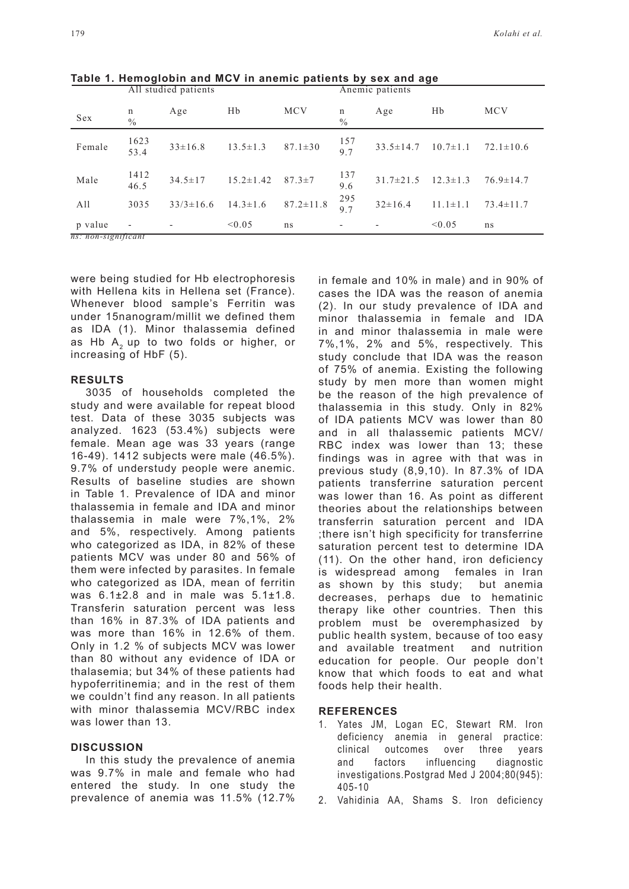|                     | THE STRUITER PRINTING    |                 |                 |                 | THISHIIV patients |                 |                |                 |
|---------------------|--------------------------|-----------------|-----------------|-----------------|-------------------|-----------------|----------------|-----------------|
| Sex                 | n<br>$\frac{0}{0}$       | Age             | Hb              | <b>MCV</b>      | n<br>$\%$         | Age             | Hb             | <b>MCV</b>      |
| Female              | 1623<br>53.4             | $33 \pm 16.8$   | $13.5 \pm 1.3$  | $87.1 \pm 30$   | $\frac{157}{9.7}$ | $33.5 \pm 14.7$ | $10.7 \pm 1.1$ | $72.1 \pm 10.6$ |
| Male                | 1412<br>46.5             | $34.5 \pm 17$   | $15.2 \pm 1.42$ | $87.3 \pm 7$    | 137<br>9.6        | $31.7 \pm 21.5$ | $12.3 \pm 1.3$ | $76.9 \pm 14.7$ |
| A11                 | 3035                     | $33/3 \pm 16.6$ | $14.3 \pm 1.6$  | $87.2 \pm 11.8$ | 295<br>9.7        | $32 \pm 16.4$   | $11.1 \pm 1.1$ | $73.4 \pm 11.7$ |
| p value             | $\overline{\phantom{a}}$ |                 | < 0.05          | ns.             |                   |                 | < 0.05         | ns              |
| ns: non-significant |                          |                 |                 |                 |                   |                 |                |                 |

**Table 1. Hemoglobin and MCV in anemic patients by sex and age**  $\overline{\Delta}$ ll studied patients

were being studied for Hb electrophoresis with Hellena kits in Hellena set (France). Whenever blood sample's Ferritin was under 15nanogram/millit we defined them as IDA (1). Minor thalassemia defined as Hb  $A<sub>2</sub>$  up to two folds or higher, or increasing of HbF (5).

#### **RESULTS**

3035 of households completed the study and were available for repeat blood test. Data of these 3035 subjects was analyzed. 1623 (53.4%) subjects were female. Mean age was 33 years (range 16-49). 1412 subjects were male (46.5%). 9.7% of understudy people were anemic. Results of baseline studies are shown in Table 1. Prevalence of IDA and minor thalassemia in female and IDA and minor thalassemia in male were 7%,1%, 2% and 5%, respectively. Among patients who categorized as IDA, in 82% of these patients MCV was under 80 and 56% of them were infected by parasites. In female who categorized as IDA, mean of ferritin was 6.1±2.8 and in male was 5.1±1.8. Transferin saturation percent was less than 16% in 87.3% of IDA patients and was more than 16% in 12.6% of them. Only in 1.2 % of subjects MCV was lower than 80 without any evidence of IDA or thalasemia; but 34% of these patients had hypoferritinemia; and in the rest of them we couldn't find any reason. In all patients with minor thalassemia MCV/RBC index was lower than 13.

# **DISCUSSION**

In this study the prevalence of anemia was 9.7% in male and female who had entered the study. In one study the prevalence of anemia was 11.5% (12.7%

in female and 10% in male) and in 90% of cases the IDA was the reason of anemia (2). In our study prevalence of IDA and minor thalassemia in female and IDA in and minor thalassemia in male were 7%,1%, 2% and 5%, respectively. This study conclude that IDA was the reason of 75% of anemia. Existing the following study by men more than women might be the reason of the high prevalence of thalassemia in this study. Only in 82% of IDA patients MCV was lower than 80 and in all thalassemic patients MCV/ RBC index was lower than 13; these findings was in agree with that was in previous study (8,9,10). In 87.3% of IDA patients transferrine saturation percent was lower than 16. As point as different theories about the relationships between transferrin saturation percent and IDA ;there isn't high specificity for transferrine saturation percent test to determine IDA (11). On the other hand, iron deficiency is widespread among females in Iran as shown by this study; but anemia decreases, perhaps due to hematinic therapy like other countries. Then this problem must be overemphasized by public health system, because of too easy and available treatment and nutrition education for people. Our people don't know that which foods to eat and what foods help their health.

# **REFERENCES**

- 1. Yates JM, Logan EC, Stewart RM. Iron deficiency anemia in general practice: clinical outcomes over three years and factors influencing diagnostic investigations.Postgrad Med J 2004;80(945): 405-10
- 2. Vahidinia AA, Shams S. Iron deficiency